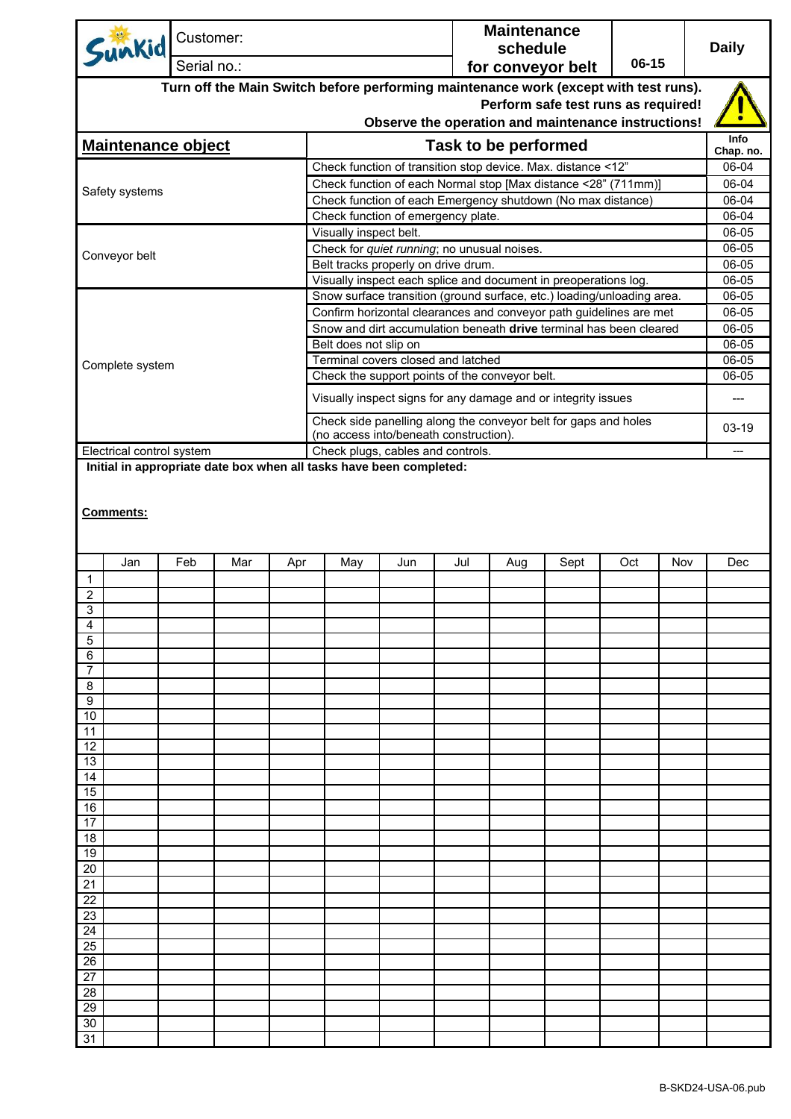| Sunkid                    |  | Customer: |     |     |                                                                                                          |     | <b>Maintenance</b><br>schedule |                             |                                                                                                                                           |     | <b>Daily</b> |                |
|---------------------------|--|-----------|-----|-----|----------------------------------------------------------------------------------------------------------|-----|--------------------------------|-----------------------------|-------------------------------------------------------------------------------------------------------------------------------------------|-----|--------------|----------------|
| Serial no.:               |  |           |     |     | 06-15<br>for conveyor belt                                                                               |     |                                |                             |                                                                                                                                           |     |              |                |
|                           |  |           |     |     |                                                                                                          |     |                                |                             | Turn off the Main Switch before performing maintenance work (except with test runs).                                                      |     |              |                |
|                           |  |           |     |     |                                                                                                          |     |                                |                             | Perform safe test runs as required!                                                                                                       |     |              |                |
|                           |  |           |     |     |                                                                                                          |     |                                |                             | Observe the operation and maintenance instructions!                                                                                       |     |              | Info           |
| <b>Maintenance object</b> |  |           |     |     |                                                                                                          |     |                                | <b>Task to be performed</b> |                                                                                                                                           |     |              | Chap. no.      |
|                           |  |           |     |     |                                                                                                          |     |                                |                             | Check function of transition stop device. Max. distance <12"                                                                              |     |              | 06-04          |
| Safety systems            |  |           |     |     |                                                                                                          |     |                                |                             | Check function of each Normal stop [Max distance <28" (711mm)]                                                                            |     |              | 06-04<br>06-04 |
|                           |  |           |     |     | Check function of emergency plate.                                                                       |     |                                |                             | Check function of each Emergency shutdown (No max distance)                                                                               |     |              | 06-04          |
|                           |  |           |     |     | Visually inspect belt.                                                                                   |     |                                |                             |                                                                                                                                           |     |              | 06-05          |
| Conveyor belt             |  |           |     |     | Check for quiet running; no unusual noises.                                                              |     |                                |                             |                                                                                                                                           |     |              |                |
|                           |  |           |     |     | Belt tracks properly on drive drum.                                                                      |     |                                |                             |                                                                                                                                           |     |              | 06-05          |
|                           |  |           |     |     |                                                                                                          |     |                                |                             | Visually inspect each splice and document in preoperations log.<br>Snow surface transition (ground surface, etc.) loading/unloading area. |     |              | 06-05<br>06-05 |
|                           |  |           |     |     |                                                                                                          |     |                                |                             | Confirm horizontal clearances and conveyor path guidelines are met                                                                        |     |              | 06-05          |
|                           |  |           |     |     |                                                                                                          |     |                                |                             | Snow and dirt accumulation beneath drive terminal has been cleared                                                                        |     |              | 06-05          |
|                           |  |           |     |     | Belt does not slip on                                                                                    |     |                                |                             |                                                                                                                                           |     |              | 06-05          |
| Complete system           |  |           |     |     | Terminal covers closed and latched                                                                       |     |                                |                             |                                                                                                                                           |     |              | 06-05          |
|                           |  |           |     |     | Check the support points of the conveyor belt.                                                           |     |                                |                             |                                                                                                                                           |     |              | 06-05          |
|                           |  |           |     |     |                                                                                                          |     |                                |                             | Visually inspect signs for any damage and or integrity issues                                                                             |     |              | ---            |
|                           |  |           |     |     |                                                                                                          |     |                                |                             | Check side panelling along the conveyor belt for gaps and holes                                                                           |     |              | 03-19          |
|                           |  |           |     |     | (no access into/beneath construction).                                                                   |     |                                |                             |                                                                                                                                           |     |              |                |
| Electrical control system |  |           |     |     | Check plugs, cables and controls.<br>Initial in appropriate date box when all tasks have been completed: |     |                                |                             |                                                                                                                                           |     |              | $---$          |
| <b>Comments:</b>          |  |           |     |     |                                                                                                          |     |                                |                             |                                                                                                                                           |     |              |                |
| Jan<br>1                  |  | Feb       | Mar | Apr | May                                                                                                      | Jun | Jul                            | Aug                         | Sept                                                                                                                                      | Oct | Nov          | Dec            |
| 2                         |  |           |     |     |                                                                                                          |     |                                |                             |                                                                                                                                           |     |              |                |
| 3                         |  |           |     |     |                                                                                                          |     |                                |                             |                                                                                                                                           |     |              |                |
| 4                         |  |           |     |     |                                                                                                          |     |                                |                             |                                                                                                                                           |     |              |                |
| 5<br>6                    |  |           |     |     |                                                                                                          |     |                                |                             |                                                                                                                                           |     |              |                |
| 7                         |  |           |     |     |                                                                                                          |     |                                |                             |                                                                                                                                           |     |              |                |
| 8                         |  |           |     |     |                                                                                                          |     |                                |                             |                                                                                                                                           |     |              |                |
| 9<br>10                   |  |           |     |     |                                                                                                          |     |                                |                             |                                                                                                                                           |     |              |                |
| 11                        |  |           |     |     |                                                                                                          |     |                                |                             |                                                                                                                                           |     |              |                |
| 12                        |  |           |     |     |                                                                                                          |     |                                |                             |                                                                                                                                           |     |              |                |
| 13<br>14                  |  |           |     |     |                                                                                                          |     |                                |                             |                                                                                                                                           |     |              |                |
| 15                        |  |           |     |     |                                                                                                          |     |                                |                             |                                                                                                                                           |     |              |                |
| 16                        |  |           |     |     |                                                                                                          |     |                                |                             |                                                                                                                                           |     |              |                |
| 17                        |  |           |     |     |                                                                                                          |     |                                |                             |                                                                                                                                           |     |              |                |
| 18<br>19                  |  |           |     |     |                                                                                                          |     |                                |                             |                                                                                                                                           |     |              |                |
| 20                        |  |           |     |     |                                                                                                          |     |                                |                             |                                                                                                                                           |     |              |                |
| 21                        |  |           |     |     |                                                                                                          |     |                                |                             |                                                                                                                                           |     |              |                |
| 22                        |  |           |     |     |                                                                                                          |     |                                |                             |                                                                                                                                           |     |              |                |
| 23<br>24                  |  |           |     |     |                                                                                                          |     |                                |                             |                                                                                                                                           |     |              |                |
| 25                        |  |           |     |     |                                                                                                          |     |                                |                             |                                                                                                                                           |     |              |                |
| 26                        |  |           |     |     |                                                                                                          |     |                                |                             |                                                                                                                                           |     |              |                |
| 27                        |  |           |     |     |                                                                                                          |     |                                |                             |                                                                                                                                           |     |              |                |
| 28<br>29                  |  |           |     |     |                                                                                                          |     |                                |                             |                                                                                                                                           |     |              |                |
| 30                        |  |           |     |     |                                                                                                          |     |                                |                             |                                                                                                                                           |     |              |                |
| 31                        |  |           |     |     |                                                                                                          |     |                                |                             |                                                                                                                                           |     |              |                |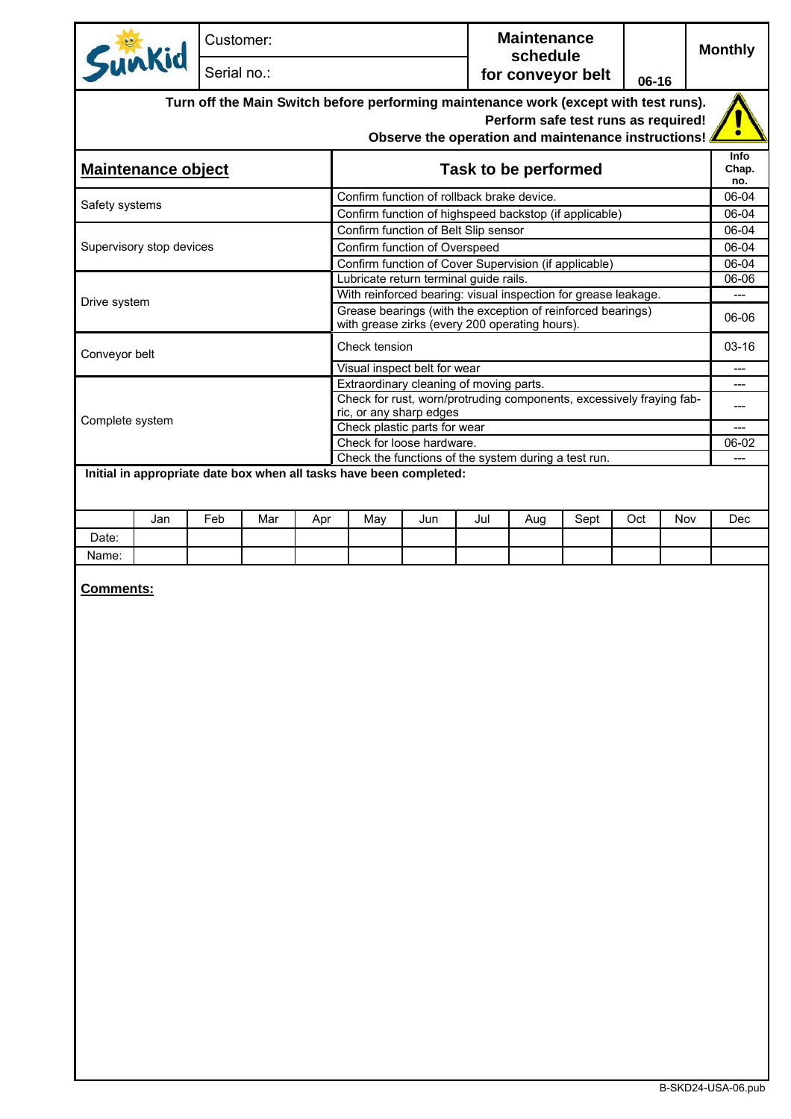|                                                                     | Customer:   |     |     |                                                                                                                                                                                    |     |                               | <b>Maintenance</b> |       |     |     | <b>Monthly</b> |
|---------------------------------------------------------------------|-------------|-----|-----|------------------------------------------------------------------------------------------------------------------------------------------------------------------------------------|-----|-------------------------------|--------------------|-------|-----|-----|----------------|
| Sunkid                                                              | Serial no.: |     |     |                                                                                                                                                                                    |     | schedule<br>for conveyor belt |                    | 06-16 |     |     |                |
|                                                                     |             |     |     | Turn off the Main Switch before performing maintenance work (except with test runs).<br>Perform safe test runs as required!<br>Observe the operation and maintenance instructions! |     |                               |                    |       |     |     |                |
| Maintenance object                                                  |             |     |     | Info<br>Task to be performed<br>Chap.                                                                                                                                              |     |                               |                    |       |     |     |                |
|                                                                     |             |     |     | Confirm function of rollback brake device.                                                                                                                                         |     |                               |                    |       |     |     | no.<br>06-04   |
| Safety systems                                                      |             |     |     | Confirm function of highspeed backstop (if applicable)                                                                                                                             |     |                               |                    |       |     |     | 06-04          |
|                                                                     |             |     |     | Confirm function of Belt Slip sensor                                                                                                                                               |     |                               |                    |       |     |     | 06-04          |
| Supervisory stop devices                                            |             |     |     | Confirm function of Overspeed                                                                                                                                                      |     |                               |                    |       |     |     | 06-04          |
|                                                                     |             |     |     | Confirm function of Cover Supervision (if applicable)<br>Lubricate return terminal guide rails.                                                                                    |     |                               |                    |       |     |     | 06-04<br>06-06 |
|                                                                     |             |     |     | With reinforced bearing: visual inspection for grease leakage.                                                                                                                     |     |                               |                    |       |     |     | $---$          |
| Drive system                                                        |             |     |     | Grease bearings (with the exception of reinforced bearings)<br>with grease zirks (every 200 operating hours).                                                                      |     |                               |                    |       |     |     | 06-06          |
| Conveyor belt                                                       |             |     |     | Check tension                                                                                                                                                                      |     |                               |                    |       |     |     | $03-16$        |
|                                                                     |             |     |     | Visual inspect belt for wear                                                                                                                                                       |     |                               |                    |       |     |     | ---            |
|                                                                     |             |     |     | Extraordinary cleaning of moving parts.                                                                                                                                            |     |                               |                    |       |     |     | ---            |
|                                                                     |             |     |     | Check for rust, worn/protruding components, excessively fraying fab-<br>ric, or any sharp edges                                                                                    |     |                               |                    |       |     |     | ---            |
| Complete system                                                     |             |     |     | Check plastic parts for wear                                                                                                                                                       |     |                               |                    |       |     |     | ---            |
|                                                                     |             |     |     | Check for loose hardware.                                                                                                                                                          |     |                               |                    |       |     |     | 06-02          |
| Initial in appropriate date box when all tasks have been completed: |             |     |     | Check the functions of the system during a test run.                                                                                                                               |     |                               |                    |       |     |     |                |
| Jan                                                                 | Feb         | Mar | Apr | May                                                                                                                                                                                | Jun | Jul                           | Aug                | Sept  | Oct | Nov | Dec            |
| Date:                                                               |             |     |     |                                                                                                                                                                                    |     |                               |                    |       |     |     |                |
| Name:                                                               |             |     |     |                                                                                                                                                                                    |     |                               |                    |       |     |     |                |
| Comments:                                                           |             |     |     |                                                                                                                                                                                    |     |                               |                    |       |     |     |                |